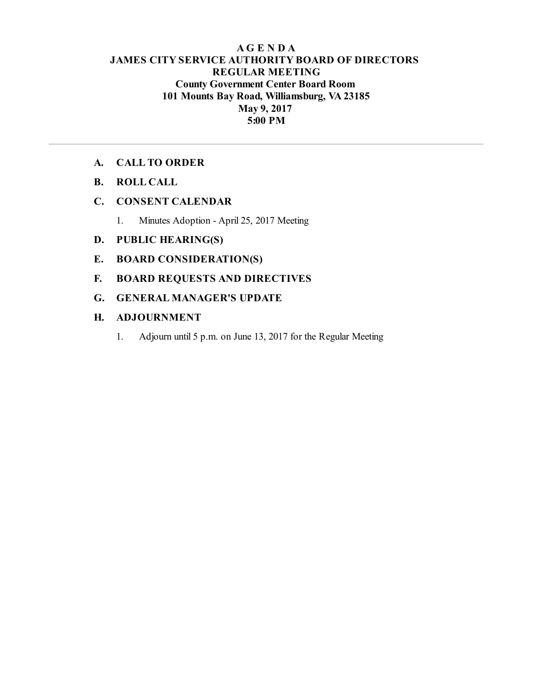## **AG E N D A JAMES CITY SERVICE AUTHORITY BOARD OF DIRECTORS REGULAR MEETING County Government Center Board Room 101 Mounts Bay Road, Williamsburg, VA23185 May 9, 2017 5:00 PM**

## **A. CALL TO ORDER**

**B. ROLL CALL**

## **C. CONSENT CALENDAR**

1. Minutes Adoption - April 25, 2017 Meeting

## **D. PUBLIC HEARING(S)**

- **E. BOARD CONSIDERATION(S)**
- **F. BOARD REQUESTS AND DIRECTIVES**
- **G. GENERAL MANAGER'S UPDATE**

## **H. ADJOURNMENT**

1. Adjourn until 5 p.m. on June 13, 2017 for the Regular Meeting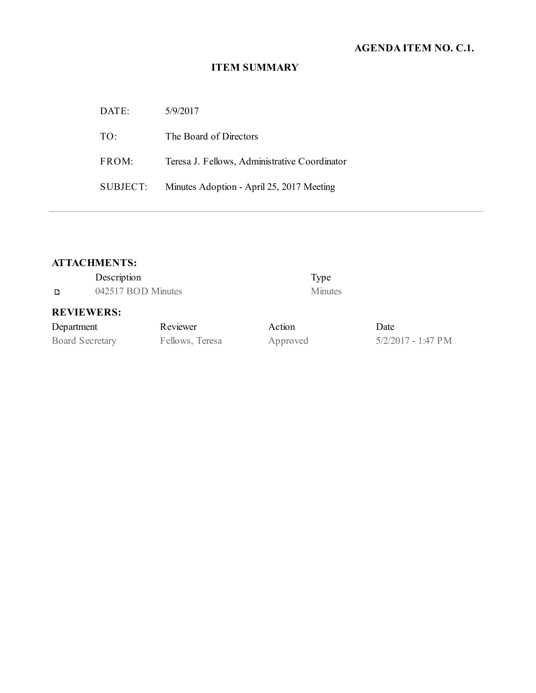# **AGENDA ITEM NO. C.1.**

# **ITEM SUMMARY**

| DATE:    | 5/9/2017                                      |
|----------|-----------------------------------------------|
| TO:      | The Board of Directors                        |
| FROM:    | Teresa J. Fellows, Administrative Coordinator |
| SUBJECT: | Minutes Adoption - April 25, 2017 Meeting     |

# **ATTACHMENTS:**

|                                              | Description       |                                  |                        | Type           |
|----------------------------------------------|-------------------|----------------------------------|------------------------|----------------|
| 042517 BOD Minutes<br>D                      |                   |                                  |                        | <b>Minutes</b> |
|                                              | <b>REVIEWERS:</b> |                                  |                        |                |
| $\mathbf{D}$ are a set as a set $\mathbf{E}$ |                   | $\mathbf{D}$ and an $\mathbf{D}$ | $\Lambda$ of $\Lambda$ |                |

# **REVIEWERS:**

| Department             | Reviewer        | Action   | Date   |
|------------------------|-----------------|----------|--------|
| <b>Board Secretary</b> | Fellows, Teresa | Approved | 5/2/20 |

sa Approved 5/2/2017 - 1:47 PM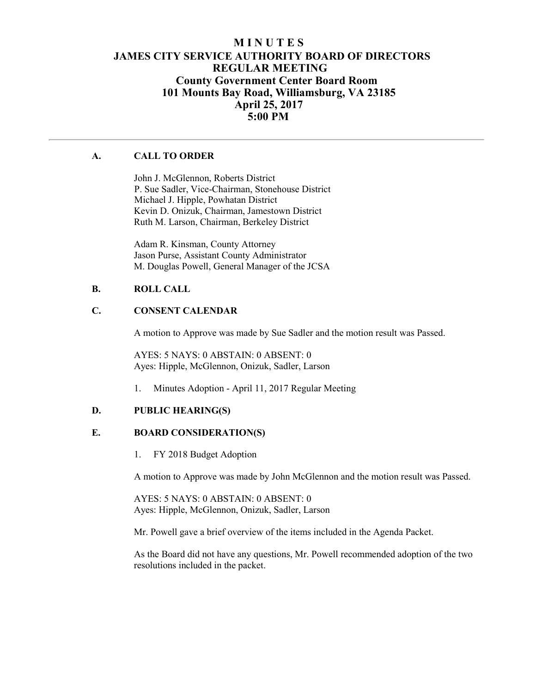## **M I N U T E S JAMES CITY SERVICE AUTHORITY BOARD OF DIRECTORS REGULAR MEETING County Government Center Board Room 101 Mounts Bay Road, Williamsburg, VA 23185 April 25, 2017 5:00 PM**

## **A. CALL TO ORDER**

John J. McGlennon, Roberts District P. Sue Sadler, Vice-Chairman, Stonehouse District Michael J. Hipple, Powhatan District Kevin D. Onizuk, Chairman, Jamestown District Ruth M. Larson, Chairman, Berkeley District

Adam R. Kinsman, County Attorney Jason Purse, Assistant County Administrator M. Douglas Powell, General Manager of the JCSA

#### **B. ROLL CALL**

#### **C. CONSENT CALENDAR**

A motion to Approve was made by Sue Sadler and the motion result was Passed.

AYES: 5 NAYS: 0 ABSTAIN: 0 ABSENT: 0 Ayes: Hipple, McGlennon, Onizuk, Sadler, Larson

1. Minutes Adoption - April 11, 2017 Regular Meeting

#### **D. PUBLIC HEARING(S)**

#### **E. BOARD CONSIDERATION(S)**

1. FY 2018 Budget Adoption

A motion to Approve was made by John McGlennon and the motion result was Passed.

AYES: 5 NAYS: 0 ABSTAIN: 0 ABSENT: 0 Ayes: Hipple, McGlennon, Onizuk, Sadler, Larson

Mr. Powell gave a brief overview of the items included in the Agenda Packet.

As the Board did not have any questions, Mr. Powell recommended adoption of the two resolutions included in the packet.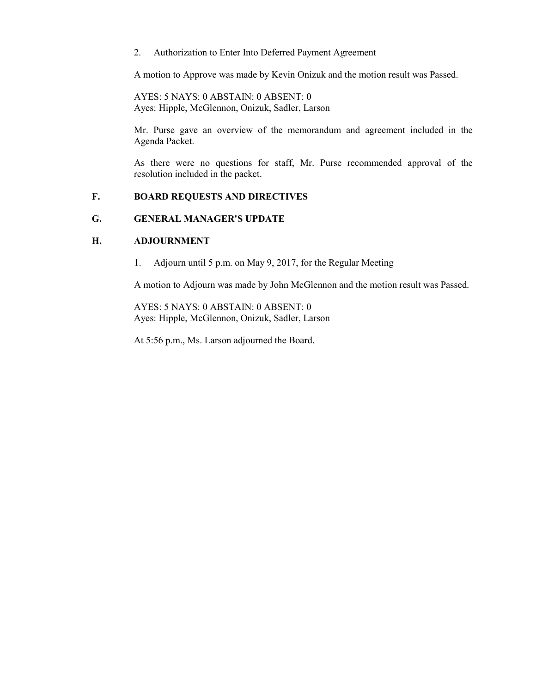2. Authorization to Enter Into Deferred Payment Agreement

A motion to Approve was made by Kevin Onizuk and the motion result was Passed.

AYES: 5 NAYS: 0 ABSTAIN: 0 ABSENT: 0 Ayes: Hipple, McGlennon, Onizuk, Sadler, Larson

Mr. Purse gave an overview of the memorandum and agreement included in the Agenda Packet.

As there were no questions for staff, Mr. Purse recommended approval of the resolution included in the packet.

#### **F. BOARD REQUESTS AND DIRECTIVES**

#### **G. GENERAL MANAGER'S UPDATE**

#### **H. ADJOURNMENT**

1. Adjourn until 5 p.m. on May 9, 2017, for the Regular Meeting

A motion to Adjourn was made by John McGlennon and the motion result was Passed.

AYES: 5 NAYS: 0 ABSTAIN: 0 ABSENT: 0 Ayes: Hipple, McGlennon, Onizuk, Sadler, Larson

At 5:56 p.m., Ms. Larson adjourned the Board.